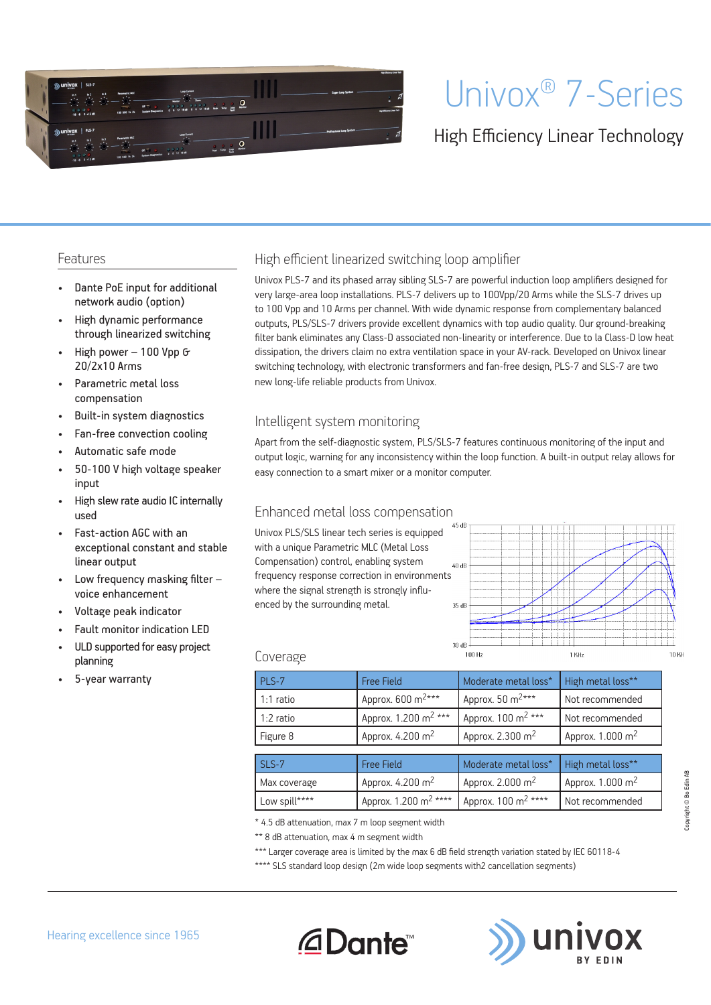

# Univox® 7-Series

## High Efficiency Linear Technology

#### Features

- Dante PoE input for additional network audio (option)
- High dynamic performance through linearized switching
- High power 100 Vpp & 20/2x10 Arms
- Parametric metal loss compensation
- Built-in system diagnostics
- Fan-free convection cooling
- Automatic safe mode
- 50-100 V high voltage speaker input
- High slew rate audio IC internally used
- Fast-action AGC with an exceptional constant and stable linear output
- Low frequency masking filter voice enhancement
- Voltage peak indicator
- Fault monitor indication LED
- ULD supported for easy project planning
- 5-year warranty

#### High efficient linearized switching loop amplifier

Univox PLS-7 and its phased array sibling SLS-7 are powerful induction loop amplifiers designed for very large-area loop installations. PLS-7 delivers up to 100Vpp/20 Arms while the SLS-7 drives up to 100 Vpp and 10 Arms per channel. With wide dynamic response from complementary balanced outputs, PLS/SLS-7 drivers provide excellent dynamics with top audio quality. Our ground-breaking filter bank eliminates any Class-D associated non-linearity or interference. Due to la Class-D low heat dissipation, the drivers claim no extra ventilation space in your AV-rack. Developed on Univox linear switching technology, with electronic transformers and fan-free design, PLS-7 and SLS-7 are two new long-life reliable products from Univox.

#### Intelligent system monitoring

Apart from the self-diagnostic system, PLS/SLS-7 features continuous monitoring of the input and output logic, warning for any inconsistency within the loop function. A built-in output relay allows for easy connection to a smart mixer or a monitor computer.

#### Enhanced metal loss compensation

Univox PLS/SLS linear tech series is equipped with a unique Parametric MLC (Metal Loss Compensation) control, enabling system frequency response correction in environments where the signal strength is strongly influenced by the surrounding metal.



#### Coverage

| PLS-7         | <b>Free Field</b>                 | Moderate metal loss*            | High metal loss**            |  |
|---------------|-----------------------------------|---------------------------------|------------------------------|--|
| 1:1 ratio     | Approx. 600 m <sup>2***</sup>     | Approx. 50 m <sup>2***</sup>    | Not recommended              |  |
| 1:2 ratio     | Approx. 1.200 m <sup>2</sup> ***  | Approx. 100 m <sup>2</sup> ***  | Not recommended              |  |
| Figure 8      | Approx. 4.200 m <sup>2</sup>      | Approx. 2.300 m <sup>2</sup>    | Approx. $1.000 \text{ m}^2$  |  |
|               |                                   |                                 |                              |  |
| SLS-7         | <b>Free Field</b>                 | Moderate metal loss*            | High metal loss**            |  |
| Max coverage  | Approx. 4.200 m <sup>2</sup>      | Approx. 2.000 m <sup>2</sup>    | Approx. 1.000 m <sup>2</sup> |  |
| Low spill**** | Approx. 1.200 m <sup>2</sup> **** | Approx. 100 m <sup>2</sup> **** | Not recommended              |  |

\* 4.5 dB attenuation, max 7 m loop segment width

*<u>ADante</u>* 

\*\* 8 dB attenuation, max 4 m segment width

\*\*\* Larger coverage area is limited by the max 6 dB field strength variation stated by IEC 60118-4

\*\*\*\* SLS standard loop design (2m wide loop segments with2 cancellation segments)